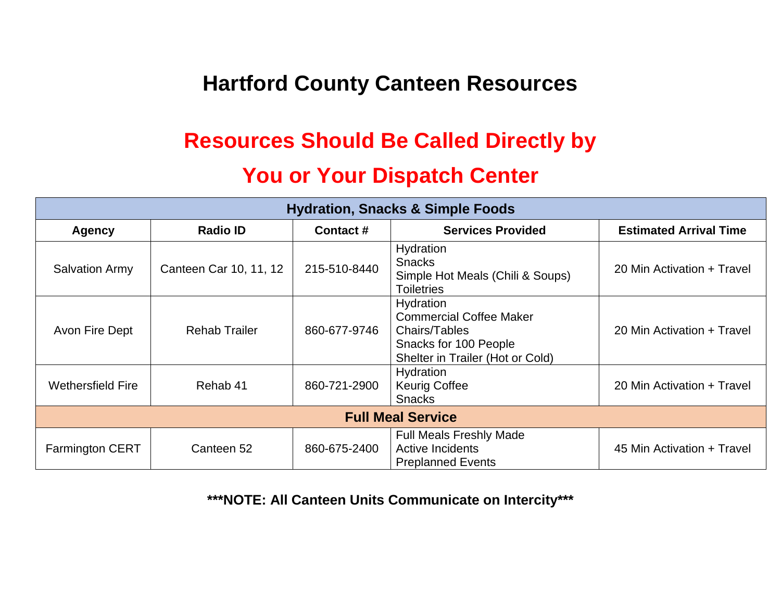## **Hartford County Canteen Resources**

# **Resources Should Be Called Directly by**

## **You or Your Dispatch Center**

| <b>Hydration, Snacks &amp; Simple Foods</b> |                        |              |                                                                                                                           |                               |
|---------------------------------------------|------------------------|--------------|---------------------------------------------------------------------------------------------------------------------------|-------------------------------|
| <b>Agency</b>                               | <b>Radio ID</b>        | Contact#     | <b>Services Provided</b>                                                                                                  | <b>Estimated Arrival Time</b> |
| <b>Salvation Army</b>                       | Canteen Car 10, 11, 12 | 215-510-8440 | Hydration<br><b>Snacks</b><br>Simple Hot Meals (Chili & Soups)<br><b>Toiletries</b>                                       | 20 Min Activation + Travel    |
| Avon Fire Dept                              | <b>Rehab Trailer</b>   | 860-677-9746 | Hydration<br><b>Commercial Coffee Maker</b><br>Chairs/Tables<br>Snacks for 100 People<br>Shelter in Trailer (Hot or Cold) | 20 Min Activation + Travel    |
| <b>Wethersfield Fire</b>                    | Rehab 41               | 860-721-2900 | Hydration<br><b>Keurig Coffee</b><br><b>Snacks</b>                                                                        | 20 Min Activation + Travel    |
| <b>Full Meal Service</b>                    |                        |              |                                                                                                                           |                               |
| <b>Farmington CERT</b>                      | Canteen 52             | 860-675-2400 | <b>Full Meals Freshly Made</b><br><b>Active Incidents</b><br><b>Preplanned Events</b>                                     | 45 Min Activation + Travel    |

**\*\*\*NOTE: All Canteen Units Communicate on Intercity\*\*\***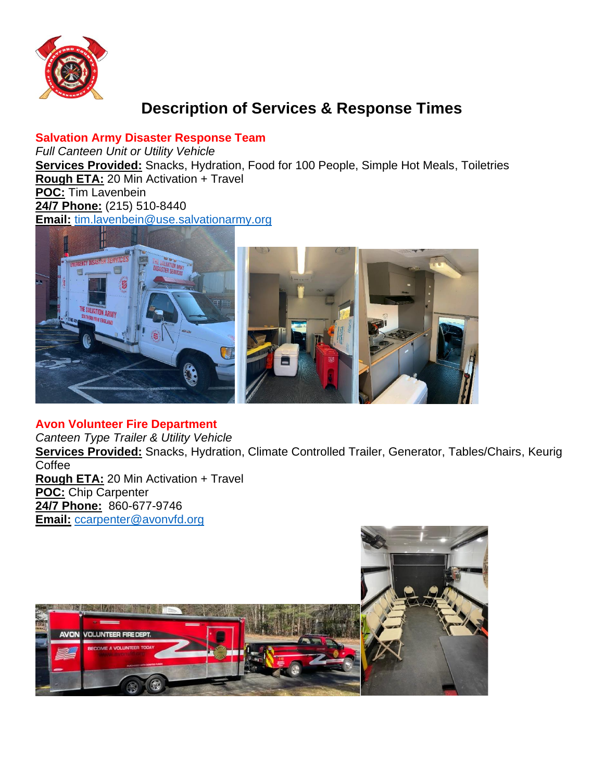

### **Description of Services & Response Times**

#### **Salvation Army Disaster Response Team**

*Full Canteen Unit or Utility Vehicle* **Services Provided:** Snacks, Hydration, Food for 100 People, Simple Hot Meals, Toiletries **Rough ETA:** 20 Min Activation + Travel **POC:** Tim Lavenbein **24/7 Phone:** (215) 510-8440 **Email:** [tim.lavenbein@use.salvationarmy.org](mailto:tim.lavenbein@use.salvationarmy.org)



#### **Avon Volunteer Fire Department**

*Canteen Type Trailer & Utility Vehicle*

**Services Provided:** Snacks, Hydration, Climate Controlled Trailer, Generator, Tables/Chairs, Keurig **Coffee** 

**Rough ETA:** 20 Min Activation + Travel **POC:** Chip Carpenter **24/7 Phone:** 860-677-9746 **Email:** [ccarpenter@avonvfd.org](mailto:ccarpenter@avonvfd.org)